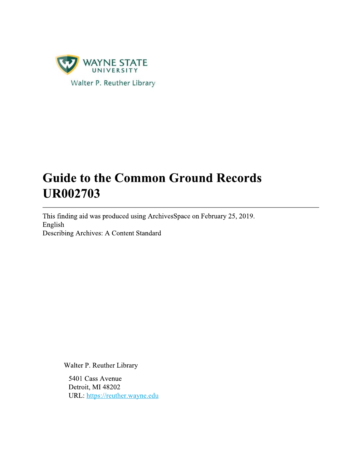

# **Guide to the Common Ground Records UR002703**

This finding aid was produced using ArchivesSpace on February 25, 2019. English Describing Archives: A Content Standard

Walter P. Reuther Library

5401 Cass Avenue Detroit, MI 48202 URL: https://reuther.wayne.edu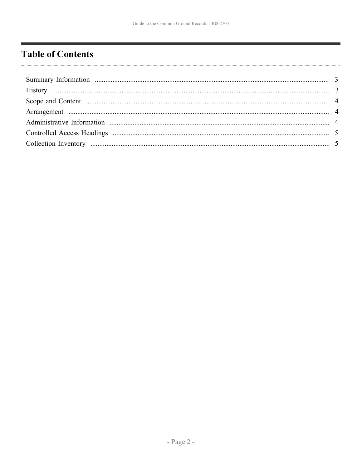# <span id="page-1-0"></span>**Table of Contents**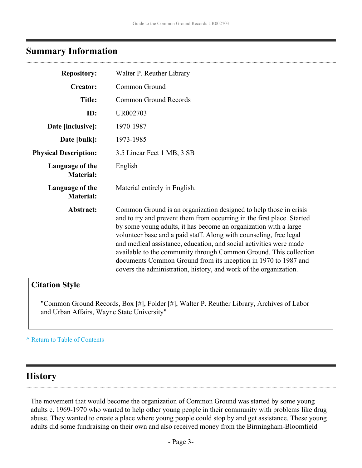# <span id="page-2-0"></span>**Summary Information**

| <b>Repository:</b>                  | Walter P. Reuther Library                                                                                                                                                                                                                                                                                                                                                                                                                                                                                                                                               |
|-------------------------------------|-------------------------------------------------------------------------------------------------------------------------------------------------------------------------------------------------------------------------------------------------------------------------------------------------------------------------------------------------------------------------------------------------------------------------------------------------------------------------------------------------------------------------------------------------------------------------|
| <b>Creator:</b>                     | Common Ground                                                                                                                                                                                                                                                                                                                                                                                                                                                                                                                                                           |
| <b>Title:</b>                       | Common Ground Records                                                                                                                                                                                                                                                                                                                                                                                                                                                                                                                                                   |
| ID:                                 | UR002703                                                                                                                                                                                                                                                                                                                                                                                                                                                                                                                                                                |
| Date [inclusive]:                   | 1970-1987                                                                                                                                                                                                                                                                                                                                                                                                                                                                                                                                                               |
| Date [bulk]:                        | 1973-1985                                                                                                                                                                                                                                                                                                                                                                                                                                                                                                                                                               |
| <b>Physical Description:</b>        | 3.5 Linear Feet 1 MB, 3 SB                                                                                                                                                                                                                                                                                                                                                                                                                                                                                                                                              |
| Language of the<br><b>Material:</b> | English                                                                                                                                                                                                                                                                                                                                                                                                                                                                                                                                                                 |
| Language of the<br><b>Material:</b> | Material entirely in English.                                                                                                                                                                                                                                                                                                                                                                                                                                                                                                                                           |
| Abstract:                           | Common Ground is an organization designed to help those in crisis<br>and to try and prevent them from occurring in the first place. Started<br>by some young adults, it has become an organization with a large<br>volunteer base and a paid staff. Along with counseling, free legal<br>and medical assistance, education, and social activities were made<br>available to the community through Common Ground. This collection<br>documents Common Ground from its inception in 1970 to 1987 and<br>covers the administration, history, and work of the organization. |

# **Citation Style**

"Common Ground Records, Box [#], Folder [#], Walter P. Reuther Library, Archives of Labor and Urban Affairs, Wayne State University"

#### **^** [Return to Table of Contents](#page-1-0)

# <span id="page-2-1"></span>**History**

The movement that would become the organization of Common Ground was started by some young adults c. 1969-1970 who wanted to help other young people in their community with problems like drug abuse. They wanted to create a place where young people could stop by and get assistance. These young adults did some fundraising on their own and also received money from the Birmingham-Bloomfield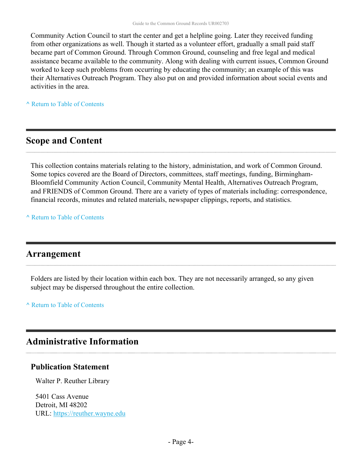Community Action Council to start the center and get a helpline going. Later they received funding from other organizations as well. Though it started as a volunteer effort, gradually a small paid staff became part of Common Ground. Through Common Ground, counseling and free legal and medical assistance became available to the community. Along with dealing with current issues, Common Ground worked to keep such problems from occurring by educating the community; an example of this was their Alternatives Outreach Program. They also put on and provided information about social events and activities in the area.

**^** [Return to Table of Contents](#page-1-0)

# <span id="page-3-0"></span>**Scope and Content**

This collection contains materials relating to the history, administation, and work of Common Ground. Some topics covered are the Board of Directors, committees, staff meetings, funding, Birmingham-Bloomfield Community Action Council, Community Mental Health, Alternatives Outreach Program, and FRIENDS of Common Ground. There are a variety of types of materials including: correspondence, financial records, minutes and related materials, newspaper clippings, reports, and statistics.

**^** [Return to Table of Contents](#page-1-0)

# <span id="page-3-1"></span>**Arrangement**

Folders are listed by their location within each box. They are not necessarily arranged, so any given subject may be dispersed throughout the entire collection.

**^** [Return to Table of Contents](#page-1-0)

# <span id="page-3-2"></span>**Administrative Information**

#### **Publication Statement**

Walter P. Reuther Library

5401 Cass Avenue Detroit, MI 48202 URL:<https://reuther.wayne.edu>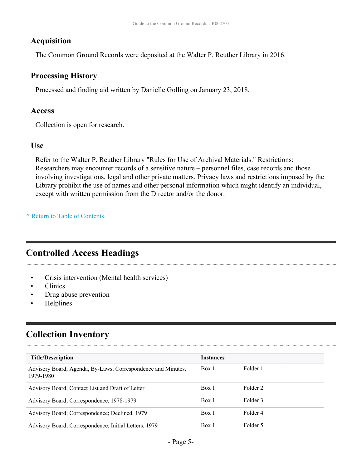#### **Acquisition**

The Common Ground Records were deposited at the Walter P. Reuther Library in 2016.

#### **Processing History**

Processed and finding aid written by Danielle Golling on January 23, 2018.

#### **Access**

Collection is open for research.

#### **Use**

Refer to the Walter P. Reuther Library "Rules for Use of Archival Materials." Restrictions: Researchers may encounter records of a sensitive nature – personnel files, case records and those involving investigations, legal and other private matters. Privacy laws and restrictions imposed by the Library prohibit the use of names and other personal information which might identify an individual, except with written permission from the Director and/or the donor.

#### **^** [Return to Table of Contents](#page-1-0)

# <span id="page-4-0"></span>**Controlled Access Headings**

- Crisis intervention (Mental health services)
- Clinics
- Drug abuse prevention
- Helplines

# <span id="page-4-1"></span>**Collection Inventory**

| <b>Title/Description</b>                                                  | <b>Instances</b> |          |
|---------------------------------------------------------------------------|------------------|----------|
| Advisory Board; Agenda, By-Laws, Correspondence and Minutes,<br>1979-1980 | Box 1            | Folder 1 |
| Advisory Board; Contact List and Draft of Letter                          | Box 1            | Folder 2 |
| Advisory Board; Correspondence, 1978-1979                                 | Box 1            | Folder 3 |
| Advisory Board; Correspondence; Declined, 1979                            | Box 1            | Folder 4 |
| Advisory Board; Correspondence; Initial Letters, 1979                     | Box 1            | Folder 5 |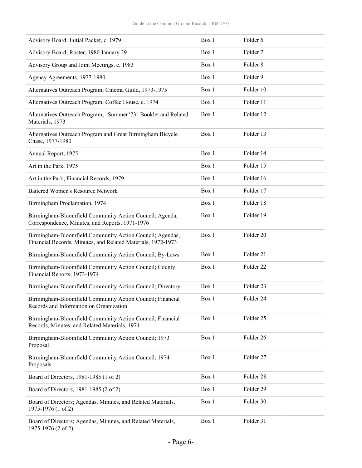| Advisory Board; Initial Packet, c. 1979                                                                                  | Box 1 | Folder 6             |
|--------------------------------------------------------------------------------------------------------------------------|-------|----------------------|
| Advisory Board; Roster, 1980 January 29                                                                                  | Box 1 | Folder <sub>7</sub>  |
| Advisory Group and Joint Meetings, c. 1983                                                                               | Box 1 | Folder <sub>8</sub>  |
| Agency Agreements, 1977-1980                                                                                             | Box 1 | Folder 9             |
| Alternatives Outreach Program; Cinema Guild, 1973-1975                                                                   | Box 1 | Folder 10            |
| Alternatives Outreach Program; Coffee House, c. 1974                                                                     | Box 1 | Folder 11            |
| Alternatives Outreach Program; "Summer '73" Booklet and Related<br>Materials, 1973                                       | Box 1 | Folder 12            |
| Alternatives Outreach Program and Great Birmingham Bicycle<br>Chase, 1977-1980                                           | Box 1 | Folder 13            |
| Annual Report, 1975                                                                                                      | Box 1 | Folder 14            |
| Art in the Park, 1975                                                                                                    | Box 1 | Folder 15            |
| Art in the Park; Financial Records, 1979                                                                                 | Box 1 | Folder 16            |
| <b>Battered Women's Resource Network</b>                                                                                 | Box 1 | Folder 17            |
| Birmingham Proclamation, 1974                                                                                            | Box 1 | Folder 18            |
| Birmingham-Bloomfield Community Action Council; Agenda,<br>Correspondence, Minutes, and Reports, 1971-1976               | Box 1 | Folder 19            |
| Birmingham-Bloomfield Community Action Council; Agendas,<br>Financial Records, Minutes, and Related Materials, 1972-1973 | Box 1 | Folder 20            |
| Birmingham-Bloomfield Community Action Council; By-Laws                                                                  | Box 1 | Folder 21            |
| Birmingham-Bloomfield Community Action Council; County<br>Financial Reports, 1973-1974                                   | Box 1 | Folder <sub>22</sub> |
| Birmingham-Bloomfield Community Action Council; Directory                                                                | Box 1 | Folder <sub>23</sub> |
| Birmingham-Bloomfield Community Action Council; Financial<br>Records and Information on Organization                     | Box 1 | Folder 24            |
| Birmingham-Bloomfield Community Action Council; Financial<br>Records, Minutes, and Related Materials, 1974               | Box 1 | Folder 25            |
| Birmingham-Bloomfield Community Action Council; 1973<br>Proposal                                                         | Box 1 | Folder 26            |
| Birmingham-Bloomfield Community Action Council; 1974<br>Proposals                                                        | Box 1 | Folder 27            |
| Board of Directors, 1981-1985 (1 of 2)                                                                                   | Box 1 | Folder 28            |
| Board of Directors, 1981-1985 (2 of 2)                                                                                   | Box 1 | Folder 29            |
| Board of Directors; Agendas, Minutes, and Related Materials,<br>1975-1976 (1 of 2)                                       | Box 1 | Folder 30            |
| Board of Directors; Agendas, Minutes, and Related Materials,<br>1975-1976 (2 of 2)                                       | Box 1 | Folder 31            |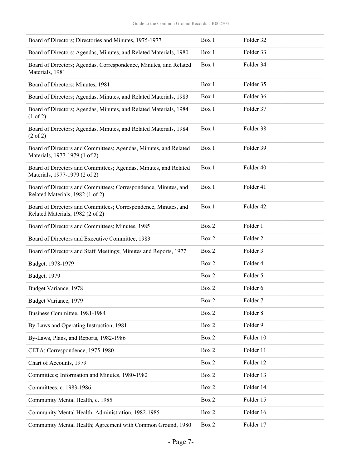| Board of Directors; Directories and Minutes, 1975-1977                                              | Box 1 | Folder 32 |
|-----------------------------------------------------------------------------------------------------|-------|-----------|
| Board of Directors; Agendas, Minutes, and Related Materials, 1980                                   | Box 1 | Folder 33 |
| Board of Directors; Agendas, Correspondence, Minutes, and Related<br>Materials, 1981                | Box 1 | Folder 34 |
| Board of Directors; Minutes, 1981                                                                   | Box 1 | Folder 35 |
| Board of Directors; Agendas, Minutes, and Related Materials, 1983                                   | Box 1 | Folder 36 |
| Board of Directors; Agendas, Minutes, and Related Materials, 1984<br>(1 of 2)                       | Box 1 | Folder 37 |
| Board of Directors; Agendas, Minutes, and Related Materials, 1984<br>$(2 \text{ of } 2)$            | Box 1 | Folder 38 |
| Board of Directors and Committees; Agendas, Minutes, and Related<br>Materials, 1977-1979 (1 of 2)   | Box 1 | Folder 39 |
| Board of Directors and Committees; Agendas, Minutes, and Related<br>Materials, 1977-1979 (2 of 2)   | Box 1 | Folder 40 |
| Board of Directors and Committees; Correspondence, Minutes, and<br>Related Materials, 1982 (1 of 2) | Box 1 | Folder 41 |
| Board of Directors and Committees; Correspondence, Minutes, and<br>Related Materials, 1982 (2 of 2) | Box 1 | Folder 42 |
| Board of Directors and Committees; Minutes, 1985                                                    | Box 2 | Folder 1  |
| Board of Directors and Executive Committee, 1983                                                    | Box 2 | Folder 2  |
| Board of Directors and Staff Meetings; Minutes and Reports, 1977                                    | Box 2 | Folder 3  |
| Budget, 1978-1979                                                                                   | Box 2 | Folder 4  |
| Budget, 1979                                                                                        | Box 2 | Folder 5  |
| Budget Variance, 1978                                                                               | Box 2 | Folder 6  |
| Budget Variance, 1979                                                                               | Box 2 | Folder 7  |
| Business Committee, 1981-1984                                                                       | Box 2 | Folder 8  |
| By-Laws and Operating Instruction, 1981                                                             | Box 2 | Folder 9  |
| By-Laws, Plans, and Reports, 1982-1986                                                              | Box 2 | Folder 10 |
| CETA; Correspondence, 1975-1980                                                                     | Box 2 | Folder 11 |
| Chart of Accounts, 1979                                                                             | Box 2 | Folder 12 |
| Committees; Information and Minutes, 1980-1982                                                      | Box 2 | Folder 13 |
| Committees, c. 1983-1986                                                                            | Box 2 | Folder 14 |
| Community Mental Health, c. 1985                                                                    | Box 2 | Folder 15 |
| Community Mental Health; Administration, 1982-1985                                                  | Box 2 | Folder 16 |
| Community Mental Health; Agreement with Common Ground, 1980                                         | Box 2 | Folder 17 |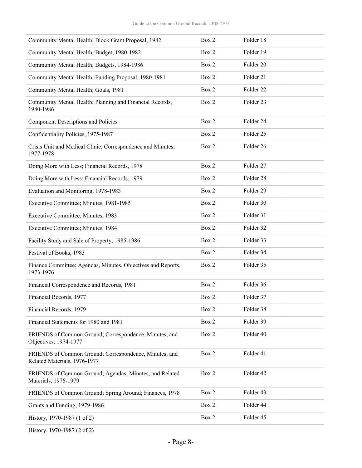| Community Mental Health; Block Grant Proposal, 1982                                    | Box 2 | Folder 18 |  |
|----------------------------------------------------------------------------------------|-------|-----------|--|
| Community Mental Health; Budget, 1980-1982                                             | Box 2 | Folder 19 |  |
| Community Mental Health; Budgets, 1984-1986                                            | Box 2 | Folder 20 |  |
| Community Mental Health; Funding Proposal, 1980-1981                                   | Box 2 | Folder 21 |  |
| Community Mental Health; Goals, 1981                                                   | Box 2 | Folder 22 |  |
| Community Mental Health; Planning and Financial Records,<br>1980-1986                  | Box 2 | Folder 23 |  |
| <b>Component Descriptions and Policies</b>                                             | Box 2 | Folder 24 |  |
| Confidentiality Policies, 1975-1987                                                    | Box 2 | Folder 25 |  |
| Crisis Unit and Medical Clinic; Correspondence and Minutes,<br>1977-1978               | Box 2 | Folder 26 |  |
| Doing More with Less; Financial Records, 1978                                          | Box 2 | Folder 27 |  |
| Doing More with Less; Financial Records, 1979                                          | Box 2 | Folder 28 |  |
| Evaluation and Monitoring, 1978-1983                                                   | Box 2 | Folder 29 |  |
| Executive Committee; Minutes, 1981-1985                                                | Box 2 | Folder 30 |  |
| Executive Committee; Minutes, 1983                                                     | Box 2 | Folder 31 |  |
| Executive Committee; Minutes, 1984                                                     | Box 2 | Folder 32 |  |
| Facility Study and Sale of Property, 1985-1986                                         | Box 2 | Folder 33 |  |
| Festival of Books, 1983                                                                | Box 2 | Folder 34 |  |
| Finance Committee; Agendas, Minutes, Objectives and Reports,<br>1973-1976              | Box 2 | Folder 35 |  |
| Financial Correspondence and Records, 1981                                             | Box 2 | Folder 36 |  |
| Financial Records, 1977                                                                | Box 2 | Folder 37 |  |
| Financial Records, 1979                                                                | Box 2 | Folder 38 |  |
| Financial Statements for 1980 and 1981                                                 | Box 2 | Folder 39 |  |
| FRIENDS of Common Ground; Correspondence, Minutes, and<br>Objectives, 1974-1977        | Box 2 | Folder 40 |  |
| FRIENDS of Common Ground; Correspondence, Minutes, and<br>Related Materials, 1976-1977 | Box 2 | Folder 41 |  |
| FRIENDS of Common Ground; Agendas, Minutes, and Related<br>Materials, 1976-1979        | Box 2 | Folder 42 |  |
| FRIENDS of Common Ground; Spring Around; Finances, 1978                                | Box 2 | Folder 43 |  |
| Grants and Funding, 1979-1986                                                          | Box 2 | Folder 44 |  |
| History, 1970-1987 (1 of 2)                                                            | Box 2 | Folder 45 |  |
|                                                                                        |       |           |  |

History, 1970-1987 (2 of 2)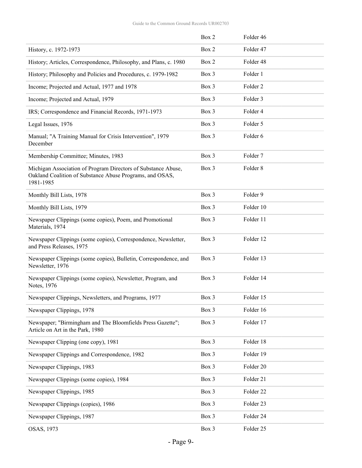|                                                                                                                                        | Box 2 | Folder 46           |
|----------------------------------------------------------------------------------------------------------------------------------------|-------|---------------------|
| History, c. 1972-1973                                                                                                                  | Box 2 | Folder 47           |
| History; Articles, Correspondence, Philosophy, and Plans, c. 1980                                                                      | Box 2 | Folder 48           |
| History; Philosophy and Policies and Procedures, c. 1979-1982                                                                          | Box 3 | Folder 1            |
| Income; Projected and Actual, 1977 and 1978                                                                                            | Box 3 | Folder <sub>2</sub> |
| Income; Projected and Actual, 1979                                                                                                     | Box 3 | Folder 3            |
| IRS; Correspondence and Financial Records, 1971-1973                                                                                   | Box 3 | Folder 4            |
| Legal Issues, 1976                                                                                                                     | Box 3 | Folder 5            |
| Manual; "A Training Manual for Crisis Intervention", 1979<br>December                                                                  | Box 3 | Folder 6            |
| Membership Committee; Minutes, 1983                                                                                                    | Box 3 | Folder <sub>7</sub> |
| Michigan Association of Program Directors of Substance Abuse,<br>Oakland Coalition of Substance Abuse Programs, and OSAS,<br>1981-1985 | Box 3 | Folder 8            |
| Monthly Bill Lists, 1978                                                                                                               | Box 3 | Folder 9            |
| Monthly Bill Lists, 1979                                                                                                               | Box 3 | Folder 10           |
| Newspaper Clippings (some copies), Poem, and Promotional<br>Materials, 1974                                                            | Box 3 | Folder 11           |
| Newspaper Clippings (some copies), Correspondence, Newsletter,<br>and Press Releases, 1975                                             | Box 3 | Folder 12           |
| Newspaper Clippings (some copies), Bulletin, Correspondence, and<br>Newsletter, 1976                                                   | Box 3 | Folder 13           |
| Newspaper Clippings (some copies), Newsletter, Program, and<br>Notes, 1976                                                             | Box 3 | Folder 14           |
| Newspaper Clippings, Newsletters, and Programs, 1977                                                                                   | Box 3 | Folder 15           |
| Newspaper Clippings, 1978                                                                                                              | Box 3 | Folder 16           |
| Newspaper; "Birmingham and The Bloomfields Press Gazette";<br>Article on Art in the Park, 1980                                         | Box 3 | Folder 17           |
| Newspaper Clipping (one copy), 1981                                                                                                    | Box 3 | Folder 18           |
| Newspaper Clippings and Correspondence, 1982                                                                                           | Box 3 | Folder 19           |
| Newspaper Clippings, 1983                                                                                                              | Box 3 | Folder 20           |
| Newspaper Clippings (some copies), 1984                                                                                                | Box 3 | Folder 21           |
| Newspaper Clippings, 1985                                                                                                              | Box 3 | Folder 22           |
| Newspaper Clippings (copies), 1986                                                                                                     | Box 3 | Folder 23           |
| Newspaper Clippings, 1987                                                                                                              | Box 3 | Folder 24           |
| OSAS, 1973                                                                                                                             | Box 3 | Folder 25           |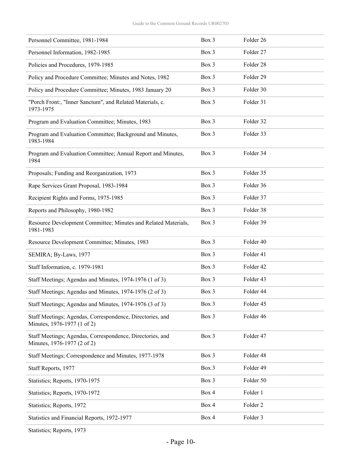| Personnel Committee, 1981-1984                                                           | Box 3 | Folder 26           |
|------------------------------------------------------------------------------------------|-------|---------------------|
| Personnel Information, 1982-1985                                                         | Box 3 | Folder 27           |
| Policies and Procedures, 1979-1985                                                       | Box 3 | Folder 28           |
| Policy and Procedure Committee; Minutes and Notes, 1982                                  | Box 3 | Folder 29           |
| Policy and Procedure Committee; Minutes, 1983 January 20                                 | Box 3 | Folder 30           |
| "Porch Front:, "Inner Sanctum", and Related Materials, c.<br>1973-1975                   | Box 3 | Folder 31           |
| Program and Evaluation Committee; Minutes, 1983                                          | Box 3 | Folder 32           |
| Program and Evaluation Committee; Background and Minutes,<br>1983-1984                   | Box 3 | Folder 33           |
| Program and Evaluation Committee; Annual Report and Minutes,<br>1984                     | Box 3 | Folder 34           |
| Proposals; Funding and Reorganization, 1973                                              | Box 3 | Folder 35           |
| Rape Services Grant Proposal, 1983-1984                                                  | Box 3 | Folder 36           |
| Recipient Rights and Forms, 1975-1985                                                    | Box 3 | Folder 37           |
| Reports and Philosophy, 1980-1982                                                        | Box 3 | Folder 38           |
| Resource Development Committee; Minutes and Related Materials,<br>1981-1983              | Box 3 | Folder 39           |
| Resource Development Committee; Minutes, 1983                                            | Box 3 | Folder 40           |
| SEMIRA; By-Laws, 1977                                                                    | Box 3 | Folder 41           |
| Staff Information, c. 1979-1981                                                          | Box 3 | Folder 42           |
| Staff Meetings; Agendas and Minutes, 1974-1976 (1 of 3)                                  | Box 3 | Folder 43           |
| Staff Meetings; Agendas and Minutes, 1974-1976 (2 of 3)                                  | Box 3 | Folder 44           |
| Staff Meetings; Agendas and Minutes, 1974-1976 (3 of 3)                                  | Box 3 | Folder 45           |
| Staff Meetings; Agendas, Correspondence, Directories, and<br>Minutes, 1976-1977 (1 of 2) | Box 3 | Folder 46           |
| Staff Meetings; Agendas, Correspondence, Directories, and<br>Minutes, 1976-1977 (2 of 2) | Box 3 | Folder 47           |
| Staff Meetings; Correspondence and Minutes, 1977-1978                                    | Box 3 | Folder 48           |
| Staff Reports, 1977                                                                      | Box 3 | Folder 49           |
| Statistics; Reports, 1970-1975                                                           | Box 3 | Folder 50           |
| Statistics; Reports, 1970-1972                                                           | Box 4 | Folder 1            |
| Statistics; Reports, 1972                                                                | Box 4 | Folder <sub>2</sub> |
| Statistics and Financial Reports, 1972-1977                                              | Box 4 | Folder 3            |
|                                                                                          |       |                     |

Statistics; Reports, 1973